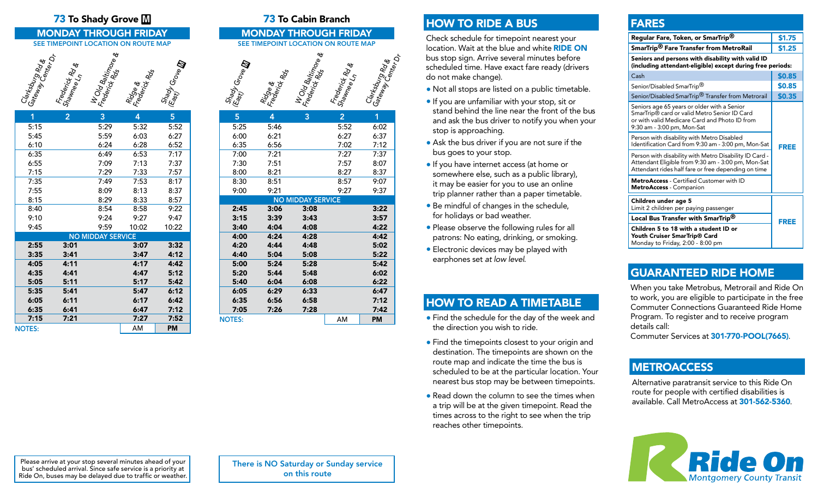### **73** To Shady Grove  $\mathbb{M}$  **73** To Cabin Branch

#### MONDAY THROUGH FRIDAY SEE TIMEPOINT LOCATION ON ROUTE MAP



| 1             | 2    | 3                        | 4     | 5         |
|---------------|------|--------------------------|-------|-----------|
| 5:15          |      | 5:29                     | 5:32  | 5:52      |
| 5:45          |      | 5:59                     | 6:03  | 6:27      |
| 6:10          |      | 6:24                     | 6:28  | 6:52      |
| 6:35          |      | 6:49                     | 6:53  | 7:17      |
| 6:55          |      | 7:09                     | 7:13  | 7:37      |
| 7:15          |      | 7:29                     | 7:33  | 7:57      |
| 7:35          |      | 7:49                     | 7:53  | 8:17      |
| 7:55          |      | 8:09                     | 8:13  | 8:37      |
| 8:15          |      | 8:29                     | 8:33  | 8:57      |
| 8:40          |      | 8:54                     | 8:58  | 9:22      |
| 9:10          |      | 9:24                     | 9:27  | 9:47      |
| 9:45          |      | 9:59                     | 10:02 | 10:22     |
|               |      | <b>NO MIDDAY SERVICE</b> |       |           |
| 2:55          | 3:01 |                          | 3:07  | 3:32      |
| 3:35          | 3:41 |                          | 3:47  | 4:12      |
| 4:05          | 4:11 |                          | 4:17  | 4:42      |
| 4:35          | 4:41 |                          | 4:47  | 5:12      |
| 5:05          | 5:11 |                          | 5:17  | 5:42      |
| 5:35          | 5:41 |                          | 5:47  | 6:12      |
| 6:05          | 6:11 |                          | 6:17  | 6:42      |
| 6:35          | 6:41 |                          | 6:47  | 7:12      |
| 7:15          | 7:21 |                          | 7:27  | 7:52      |
| <b>NOTES:</b> |      |                          | AM    | <b>PM</b> |

#### MONDAY THROUGH FRIDAY SEE TIMEPOINT LOCATION ON ROUTE MAP



# HOW TO RIDE A BUS

Check schedule for timepoint nearest your location. Wait at the blue and white RIDE ON bus stop sign. Arrive several minutes before scheduled time. Have exact fare ready (drivers do not make change).

- Not all stops are listed on a public timetable.
- If you are unfamiliar with your stop, sit or stand behind the line near the front of the bus and ask the bus driver to notify you when your stop is approaching.
- Ask the bus driver if you are not sure if the bus goes to your stop.
- If you have internet access (at home or somewhere else, such as a public library), it may be easier for you to use an online trip planner rather than a paper timetable.
- Be mindful of changes in the schedule, for holidays or bad weather.
- Please observe the following rules for all patrons: No eating, drinking, or smoking.
- Electronic devices may be played with earphones set *at low level*.

- Find the schedule for the day of the week and the direction you wish to ride.
- Find the timepoints closest to your origin and destination. The timepoints are shown on the route map and indicate the time the bus is scheduled to be at the particular location. Your nearest bus stop may be between timepoints.
- Read down the column to see the times when a trip will be at the given timepoint. Read the times across to the right to see when the trip reaches other timepoints.

# FARES

| Regular Fare, Token, or SmarTrip®                                                                                                                                          | \$1.75 |  |  |
|----------------------------------------------------------------------------------------------------------------------------------------------------------------------------|--------|--|--|
| SmarTrip® Fare Transfer from MetroRail                                                                                                                                     | \$1.25 |  |  |
| Seniors and persons with disability with valid ID<br>(including attendant-eligible) except during free periods:                                                            |        |  |  |
| Cash                                                                                                                                                                       | \$0.85 |  |  |
| Senior/Disabled SmarTrip <sup>®</sup>                                                                                                                                      | \$0.85 |  |  |
| Senior/Disabled SmarTrip <sup>®</sup> Transfer from Metrorail                                                                                                              | \$0.35 |  |  |
| Seniors age 65 years or older with a Senior<br>SmarTrip® card or valid Metro Senior ID Card<br>or with valid Medicare Card and Photo ID from<br>9:30 am - 3:00 pm, Mon-Sat |        |  |  |
| Person with disability with Metro Disabled<br>Identification Card from 9:30 am - 3:00 pm, Mon-Sat                                                                          | FREE   |  |  |
| Person with disability with Metro Disability ID Card -<br>Attendant Eligible from 9:30 am - 3:00 pm, Mon-Sat<br>Attendant rides half fare or free depending on time        |        |  |  |
| <b>MetroAccess</b> - Certified Customer with ID<br><b>MetroAccess</b> - Companion                                                                                          |        |  |  |
| Children under age 5<br>Limit 2 children per paying passenger                                                                                                              |        |  |  |
| Local Bus Transfer with SmarTrip®                                                                                                                                          | FREE   |  |  |
| Children 5 to 18 with a student ID or<br>Youth Cruiser SmarTrip® Card<br>Monday to Friday, 2:00 - 8:00 pm                                                                  |        |  |  |

# GUARANTEED RIDE HOME

When you take Metrobus, Metrorail and Ride On to work, you are eligible to participate in the free Commuter Connections Guaranteed Ride Home Program. To register and to receive program details call:

Commuter Services at 301-770-POOL(7665).

## **METROACCESS**

Alternative paratransit service to this Ride On route for people with certified disabilities is available. Call MetroAccess at 301-562-5360.



Please arrive at your stop several minutes ahead of your bus' scheduled arrival. Since safe service is a priority at Ride On, buses may be delayed due to traffic or weather. There is NO Saturday or Sunday service on this route